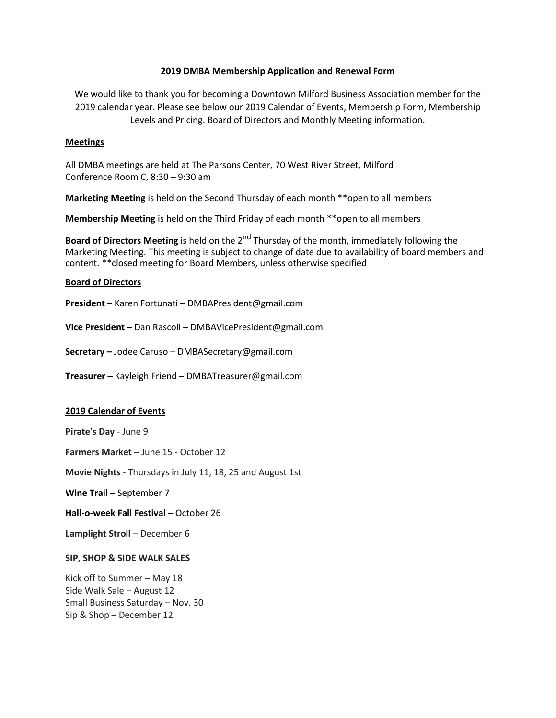# **2019 DMBA Membership Application and Renewal Form**

We would like to thank you for becoming a Downtown Milford Business Association member for the 2019 calendar year. Please see below our 2019 Calendar of Events, Membership Form, Membership Levels and Pricing. Board of Directors and Monthly Meeting information.

## **Meetings**

All DMBA meetings are held at The Parsons Center, 70 West River Street, Milford Conference Room C, 8:30 – 9:30 am

**Marketing Meeting** is held on the Second Thursday of each month \*\*open to all members

**Membership Meeting** is held on the Third Friday of each month \*\*open to all members

**Board of Directors Meeting** is held on the 2<sup>nd</sup> Thursday of the month, immediately following the Marketing Meeting. This meeting is subject to change of date due to availability of board members and content. \*\*closed meeting for Board Members, unless otherwise specified

## **Board of Directors**

**President –** Karen Fortunati – DMBAPresident@gmail.com

**Vice President –** Dan Rascoll – DMBAVicePresident@gmail.com

**Secretary –** Jodee Caruso – DMBASecretary@gmail.com

**Treasurer –** Kayleigh Friend – DMBATreasurer@gmail.com

## **2019 Calendar of Events**

**Pirate's Day** - June 9

**Farmers Market** – June 15 - October 12

**Movie Nights** - Thursdays in July 11, 18, 25 and August 1st

**Wine Trail** – September 7

**Hall-o-week Fall Festival** – October 26

**Lamplight Stroll** – December 6

## **SIP, SHOP & SIDE WALK SALES**

Kick off to Summer – May 18 Side Walk Sale – August 12 Small Business Saturday – Nov. 30 Sip & Shop – December 12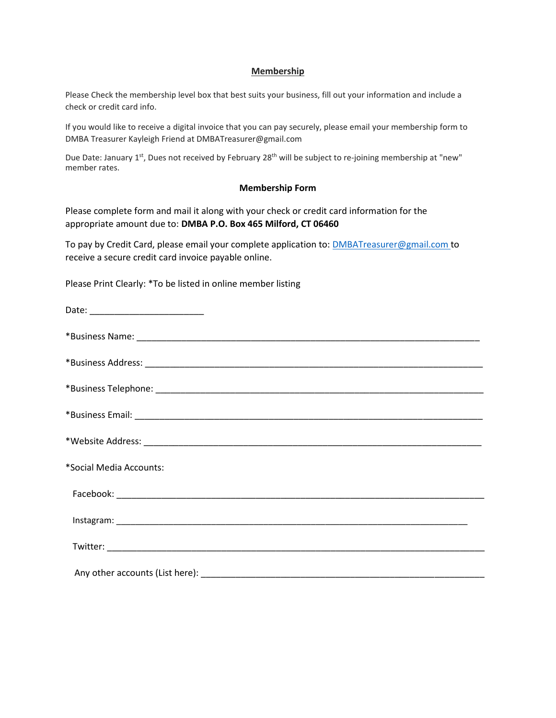## **Membership**

Please Check the membership level box that best suits your business, fill out your information and include a check or credit card info.

If you would like to receive a digital invoice that you can pay securely, please email your membership form to DMBA Treasurer Kayleigh Friend at DMBATreasurer@gmail.com

Due Date: January 1<sup>st</sup>, Dues not received by February 28<sup>th</sup> will be subject to re-joining membership at "new" member rates.

#### **Membership Form**

Please complete form and mail it along with your check or credit card information for the appropriate amount due to: **DMBA P.O. Box 465 Milford, CT 06460**

To pay by Credit Card, please email your complete application to: [DMBATreasurer@gmail.com](mailto:DMBATreasurer@gmail.com) to receive a secure credit card invoice payable online.

Please Print Clearly: \*To be listed in online member listing

| Date: ______________________________ |
|--------------------------------------|
|                                      |
|                                      |
|                                      |
|                                      |
|                                      |
| *Social Media Accounts:              |
|                                      |
|                                      |
|                                      |
|                                      |